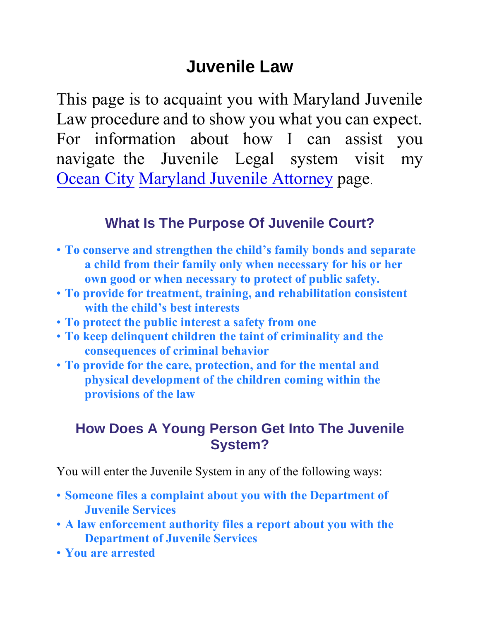# **Juvenile Law**

This page is to acquaint you with Maryland Juvenile Law procedure and to show you what you can expect. For information about how I can assist you navigate the Juvenile Legal syste[m visit my](http://www.ocmdlawyer.com/juvenile-law-attorney.html)  Ocean City [Maryland Juveni](http://www.ocmdlawyer.com/juvenile-law-attorney.html)le Attorney page.

### **What Is The Purpose Of Juvenile Court?**

- **To conserve and strengthen the child's family bonds and separate a child from their family only when necessary for his or her own good or when necessary to protect of public safety.**
- **To provide for treatment, training, and rehabilitation consistent with the child's best interests**
- **To protect the public interest a safety from one**
- **To keep delinquent children the taint of criminality and the consequences of criminal behavior**
- **To provide for the care, protection, and for the mental and physical development of the children coming within the provisions of the law**

### **How Does A Young Person Get Into The Juvenile System?**

You will enter the Juvenile System in any of the following ways:

- **Someone files a complaint about you with the Department of Juvenile Services**
- **A law enforcement authority files a report about you with the Department of Juvenile Services**
- **You are arrested**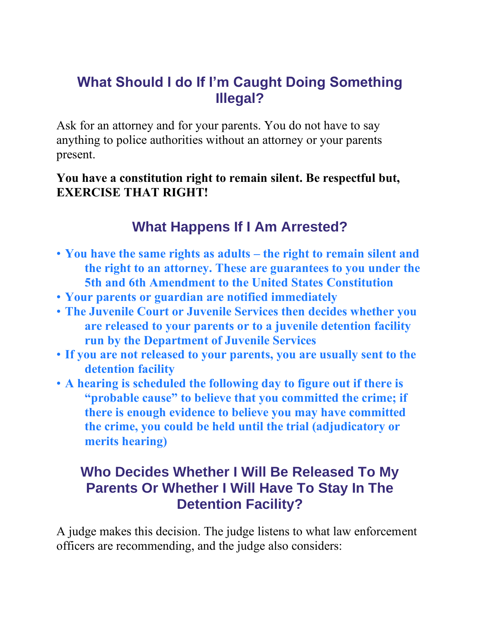## **What Should I do If I'm Caught Doing Something Illegal?**

Ask for an attorney and for your parents. You do not have to say anything to police authorities without an attorney or your parents present.

#### **You have a constitution right to remain silent. Be respectful but, EXERCISE THAT RIGHT!**

## **What Happens If I Am Arrested?**

- **You have the same rights as adults – the right to remain silent and the right to an attorney. These are guarantees to you under the 5th and 6th Amendment to the United States Constitution**
- **Your parents or guardian are notified immediately**
- **The Juvenile Court or Juvenile Services then decides whether you are released to your parents or to a juvenile detention facility run by the Department of Juvenile Services**
- **If you are not released to your parents, you are usually sent to the detention facility**
- **A hearing is scheduled the following day to figure out if there is "probable cause" to believe that you committed the crime; if there is enough evidence to believe you may have committed the crime, you could be held until the trial (adjudicatory or merits hearing)**

### **Who Decides Whether I Will Be Released To My Parents Or Whether I Will Have To Stay In The Detention Facility?**

A judge makes this decision. The judge listens to what law enforcement officers are recommending, and the judge also considers: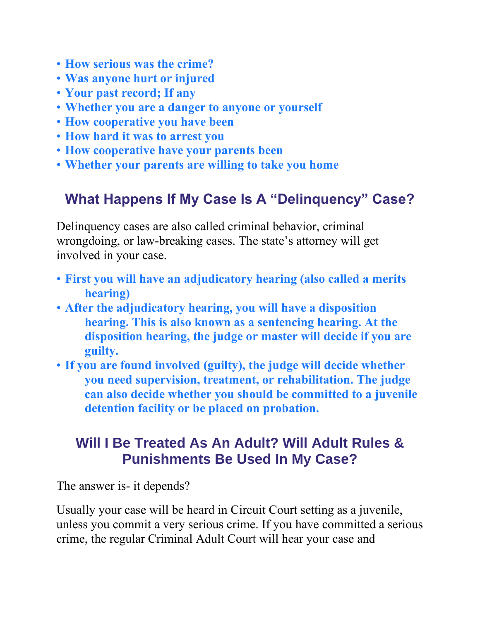- **How serious was the crime?**
- **Was anyone hurt or injured**
- **Your past record; If any**
- **Whether you are a danger to anyone or yourself**
- **How cooperative you have been**
- **How hard it was to arrest you**
- **How cooperative have your parents been**
- **Whether your parents are willing to take you home**

## **What Happens If My Case Is A "Delinquency" Case?**

Delinquency cases are also called criminal behavior, criminal wrongdoing, or law-breaking cases. The state's attorney will get involved in your case.

- **First you will have an adjudicatory hearing (also called a merits hearing)**
- **After the adjudicatory hearing, you will have a disposition hearing. This is also known as a sentencing hearing. At the disposition hearing, the judge or master will decide if you are guilty.**
- **If you are found involved (guilty), the judge will decide whether you need supervision, treatment, or rehabilitation. The judge can also decide whether you should be committed to a juvenile detention facility or be placed on probation.**

## **Will I Be Treated As An Adult? Will Adult Rules & Punishments Be Used In My Case?**

The answer is- it depends?

Usually your case will be heard in Circuit Court setting as a juvenile, unless you commit a very serious crime. If you have committed a serious crime, the regular Criminal Adult Court will hear your case and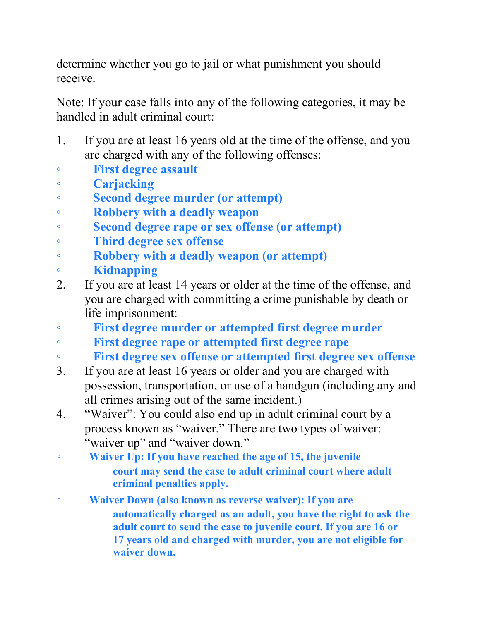determine whether you go to jail or what punishment you should receive.

Note: If your case falls into any of the following categories, it may be handled in adult criminal court:

- 1. If you are at least 16 years old at the time of the offense, and you are charged with any of the following offenses:
- **First degree assault**
- **Carjacking**
- **Second degree murder (or attempt)**
- **Robbery with a deadly weapon**
- **Second degree rape or sex offense (or attempt)**
- **Third degree sex offense**
- **Robbery with a deadly weapon (or attempt)**
- **Kidnapping**
- 2. If you are at least 14 years or older at the time of the offense, and you are charged with committing a crime punishable by death or life imprisonment:
- **First degree murder or attempted first degree murder**
- **First degree rape or attempted first degree rape**
- **First degree sex offense or attempted first degree sex offense**
- 3. If you are at least 16 years or older and you are charged with possession, transportation, or use of a handgun (including any and all crimes arising out of the same incident.)
- 4. "Waiver": You could also end up in adult criminal court by a process known as "waiver." There are two types of waiver: "waiver up" and "waiver down."
- **Waiver Up: If you have reached the age of 15, the juvenile court may send the case to adult criminal court where adult criminal penalties apply.**
- **Waiver Down (also known as reverse waiver): If you are automatically charged as an adult, you have the right to ask the adult court to send the case to juvenile court. If you are 16 or 17 years old and charged with murder, you are not eligible for waiver down.**